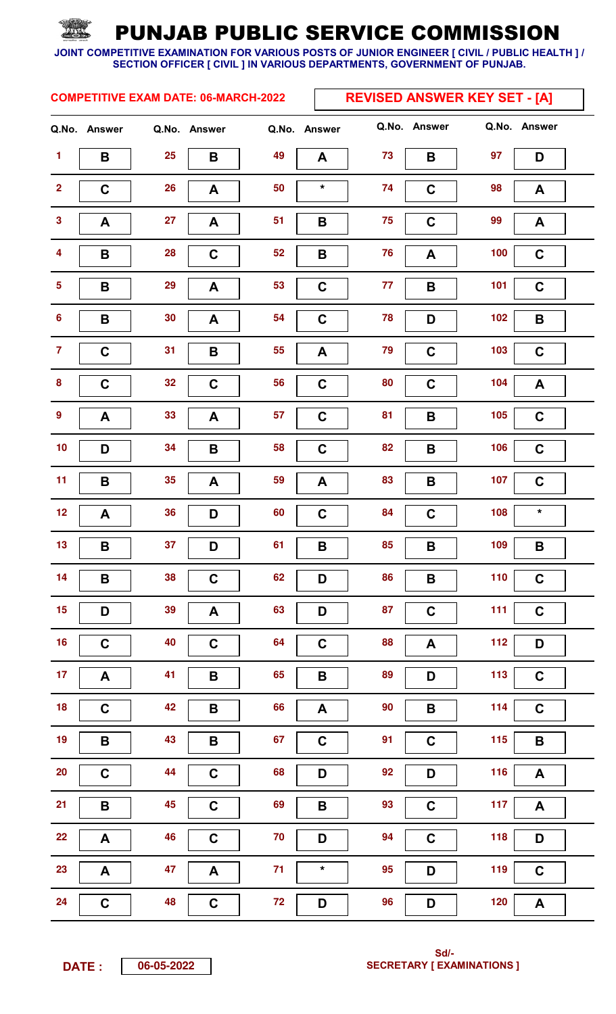|                         |                    |    | <b>COMPETITIVE EXAM DATE: 06-MARCH-2022</b> |              | <b>REVISED ANSWER KEY SET - [A]</b> |    |                    |       |              |  |
|-------------------------|--------------------|----|---------------------------------------------|--------------|-------------------------------------|----|--------------------|-------|--------------|--|
|                         | Q.No. Answer       |    | Q.No. Answer                                | Q.No. Answer |                                     |    | Q.No. Answer       |       | Q.No. Answer |  |
| 1                       | B                  | 25 | Β                                           | 49           | A                                   | 73 | B                  | 97    | D            |  |
| $\overline{\mathbf{2}}$ | $\mathbf C$        | 26 | A                                           | 50           | $\star$                             | 74 | $\mathbf C$        | 98    | A            |  |
| $\overline{\mathbf{3}}$ | A                  | 27 | A                                           | 51           | $\mathsf B$                         | 75 | $\mathbf C$        | 99    | A            |  |
| 4                       | B                  | 28 | $\mathbf C$                                 | 52           | $\pmb{\mathsf{B}}$                  | 76 | A                  | 100   | $\mathbf C$  |  |
| $\overline{\mathbf{5}}$ | B                  | 29 | A                                           | 53           | $\mathbf C$                         | 77 | B                  | 101   | $\mathbf C$  |  |
| $6\phantom{a}$          | $\pmb{\mathsf{B}}$ | 30 | A                                           | 54           | $\mathbf C$                         | 78 | D                  | 102   | $\mathbf B$  |  |
| $\overline{7}$          | $\mathbf C$        | 31 | B                                           | 55           | A                                   | 79 | $\mathbf C$        | 103   | $\mathbf c$  |  |
| $\bf{8}$                | $\mathbf C$        | 32 | $\mathbf C$                                 | 56           | $\mathbf C$                         | 80 | $\mathbf C$        | 104   | A            |  |
| $\boldsymbol{9}$        | A                  | 33 | A                                           | 57           | $\mathbf C$                         | 81 | B                  | 105   | $\mathbf C$  |  |
| 10                      | D                  | 34 | B                                           | 58           | $\mathbf C$                         | 82 | B                  | 106   | $\mathbf C$  |  |
| 11                      | $\, {\bf B}$       | 35 | A                                           | 59           | A                                   | 83 | B                  | 107   | $\mathbf C$  |  |
| 12                      | A                  | 36 | D                                           | 60           | $\mathbf C$                         | 84 | $\mathbf C$        | 108   | $\star$      |  |
| 13                      | $\pmb{\mathsf{B}}$ | 37 | D                                           | 61           | $\pmb{\mathsf{B}}$                  | 85 | B                  | 109   | $\, {\bf B}$ |  |
| 14                      | $\pmb{\mathsf{B}}$ | 38 | $\mathbf C$                                 | 62           | D                                   | 86 | $\pmb{\mathsf{B}}$ | 110   | $\mathbf C$  |  |
| 15                      | D                  | 39 | A                                           | 63           | D                                   | 87 | $\mathbf C$        | 111   | $\mathbf C$  |  |
| 16                      | $\mathbf C$        | 40 | $\mathbf C$                                 | 64           | $\mathbf C$                         | 88 | A                  | $112$ | D            |  |
| 17                      | A                  | 41 | $\, {\bf B}$                                | 65           | $\pmb{\mathsf{B}}$                  | 89 | D                  | 113   | $\mathbf C$  |  |
| 18                      | $\mathbf C$        | 42 | $\overline{\mathbf{B}}$                     | 66           | A                                   | 90 | $\pmb{\mathsf{B}}$ | 114   | $\mathbf C$  |  |
| 19                      | B                  | 43 | B                                           | 67           | $\mathbf C$                         | 91 | $\mathbf C$        | 115   | $\mathbf B$  |  |
| 20                      | $\mathbf C$        | 44 | $\mathbf C$                                 | 68           | D                                   | 92 | D                  | 116   | A            |  |
| 21                      | $\, {\bf B}$       | 45 | $\mathbf C$                                 | 69           | B                                   | 93 | $\mathbf C$        | 117   | A            |  |
| 22                      | A                  | 46 | $\mathbf C$                                 | $70\,$       | D                                   | 94 | $\mathbf C$        | 118   | D            |  |
| 23                      | A                  | 47 | A                                           | 71           | $\star$                             | 95 | D                  | 119   | $\mathbf C$  |  |
| 24                      | $\mathbf C$        | 48 | $\mathbf C$                                 | 72           | D                                   | 96 | D                  | 120   | A            |  |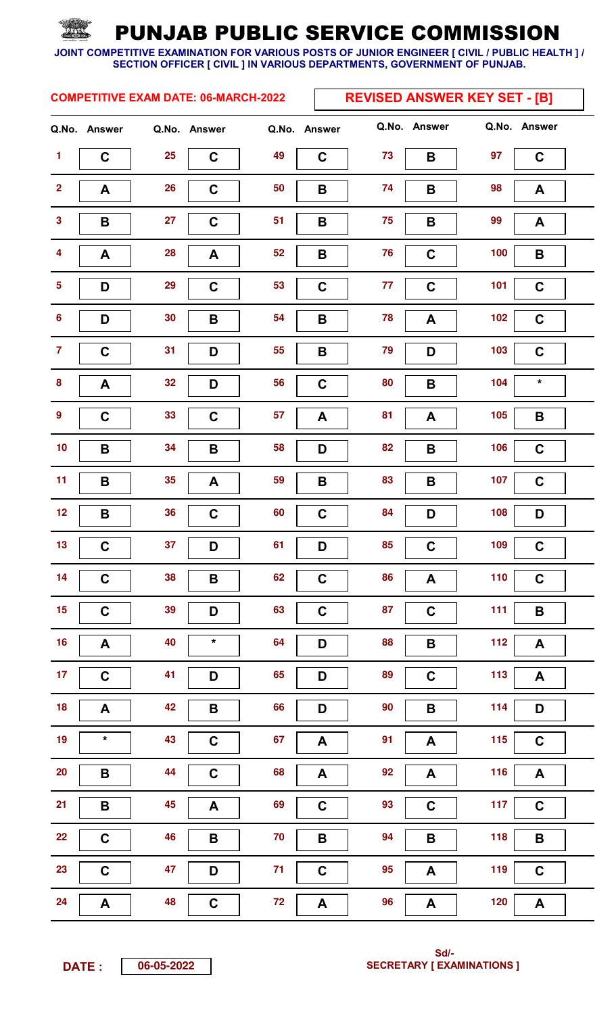| <b>REVISED ANSWER KEY SET - [B]</b><br><b>COMPETITIVE EXAM DATE: 06-MARCH-2022</b> |              |    |              |              |                          |                           |       |                  |
|------------------------------------------------------------------------------------|--------------|----|--------------|--------------|--------------------------|---------------------------|-------|------------------|
|                                                                                    | Q.No. Answer |    | Q.No. Answer | Q.No. Answer |                          | Q.No. Answer              |       | Q.No. Answer     |
| 1                                                                                  | $\mathbf C$  | 25 | $\mathbf C$  | 49           | 73<br>$\mathbf C$        | B                         | 97    | $\mathbf C$      |
| $\overline{\mathbf{2}}$                                                            | A            | 26 | $\mathbf C$  | 50           | 74<br>B                  | B                         | 98    | A                |
| $\mathbf{3}$                                                                       | B            | 27 | $\mathbf C$  | 51           | 75<br>$\pmb{\mathsf{B}}$ | $\pmb{\mathsf{B}}$        | 99    | $\boldsymbol{A}$ |
| 4                                                                                  | A            | 28 | A            | 52           | 76<br>$\pmb{\mathsf{B}}$ | $\mathbf C$               | 100   | $\mathbf B$      |
| $\overline{\mathbf{5}}$                                                            | D            | 29 | $\mathbf C$  | 53           | $\mathbf C$<br>77        | $\mathbf C$               | 101   | $\mathbf C$      |
| $\boldsymbol{6}$                                                                   | D            | 30 | B            | 54           | 78<br>$\pmb{\mathsf{B}}$ | A                         | 102   | $\mathbf C$      |
| $\overline{7}$                                                                     | $\mathbf C$  | 31 | D            | 55           | 79<br>$\pmb{\mathsf{B}}$ | D                         | 103   | $\mathbf C$      |
| 8                                                                                  | A            | 32 | D            | 56           | $\mathbf C$<br>80        | B                         | 104   | $\star$          |
| $\boldsymbol{9}$                                                                   | $\mathbf C$  | 33 | $\mathbf C$  | 57           | 81<br>A                  | A                         | 105   | B                |
| 10                                                                                 | B            | 34 | B            | 58           | 82<br>D                  | B                         | 106   | $\mathbf C$      |
| 11                                                                                 | B            | 35 | A            | 59           | 83<br>$\pmb{\mathsf{B}}$ | B                         | 107   | $\mathbf C$      |
| 12                                                                                 | B            | 36 | $\mathbf C$  | 60           | 84<br>C                  | D                         | 108   | D                |
| $13$                                                                               | $\mathbf C$  | 37 | D            | 61           | 85<br>D                  | $\mathbf C$               | 109   | $\mathbf C$      |
| 14                                                                                 | $\mathbf C$  | 38 | B            | 62           | 86<br>$\mathbf C$        | $\boldsymbol{\mathsf{A}}$ | 110   | $\mathbf C$      |
| 15                                                                                 | $\mathbf C$  | 39 | D            | 63           | 87<br>$\mathbf C$        | $\mathbf C$               | 111   | $\mathbf B$      |
| 16                                                                                 | A            | 40 | $\star$      | 64           | 88<br>D                  | B                         | $112$ | $\mathbf{A}$     |
| 17                                                                                 | $\mathbf C$  | 41 | D            | 65           | 89<br>D                  | $\mathbf C$               | 113   | A                |
| 18                                                                                 | A            | 42 | B            | 66           | 90<br>D                  | $\pmb{\mathsf{B}}$        | 114   | D                |
| 19                                                                                 | $\star$      | 43 | $\mathbf C$  | 67           | 91<br>A                  | $\boldsymbol{\mathsf{A}}$ | 115   | $\mathbf C$      |
| 20                                                                                 | B            | 44 | $\mathbf C$  | 68           | 92<br>A                  | A                         | 116   | A                |
| 21                                                                                 | B            | 45 | A            | 69           | 93<br>$\mathbf C$        | $\mathbf C$               | 117   | $\mathbf C$      |
| 22                                                                                 | $\mathbf C$  | 46 | B            | $70$         | 94<br>$\pmb{\mathsf{B}}$ | $\pmb{\mathsf{B}}$        | 118   | $\, {\bf B}$     |
| 23                                                                                 | $\mathbf C$  | 47 | D            | 71           | 95<br>$\mathbf C$        | A                         | 119   | $\mathbf C$      |
| 24                                                                                 | A            | 48 | $\mathbf C$  | 72           | 96<br>A                  | A                         | 120   | A                |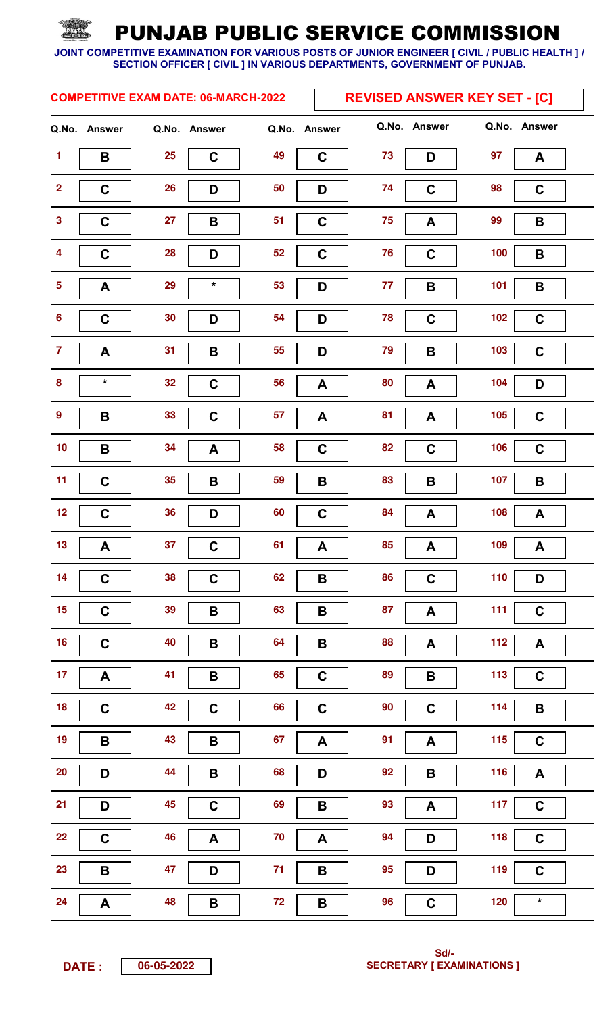|                         |                    |    | <b>COMPETITIVE EXAM DATE: 06-MARCH-2022</b> |              | <b>REVISED ANSWER KEY SET - [C]</b> |                           |       |                  |  |
|-------------------------|--------------------|----|---------------------------------------------|--------------|-------------------------------------|---------------------------|-------|------------------|--|
|                         | Q.No. Answer       |    | Q.No. Answer                                | Q.No. Answer |                                     | Q.No. Answer              |       | Q.No. Answer     |  |
| 1                       | B                  | 25 | $\mathbf c$                                 | 49           | 73<br>$\mathbf c$                   | D                         | 97    | A                |  |
| $\overline{\mathbf{2}}$ | $\mathbf C$        | 26 | D                                           | 50           | D<br>74                             | $\mathbf C$               | 98    | $\mathbf C$      |  |
| $\mathbf{3}$            | $\mathbf C$        | 27 | B                                           | 51           | $\mathbf C$<br>75                   | A                         | 99    | $\mathbf B$      |  |
| 4                       | $\mathbf C$        | 28 | D                                           | 52           | 76<br>$\mathbf C$                   | $\mathbf C$               | 100   | B                |  |
| $\overline{\mathbf{5}}$ | A                  | 29 | $\star$                                     | 53           | 77<br>D                             | B                         | 101   | $\mathbf B$      |  |
| $6\phantom{a}$          | $\mathbf C$        | 30 | D                                           | 54           | 78<br>D                             | $\mathbf C$               | 102   | $\mathbf C$      |  |
| $\overline{7}$          | A                  | 31 | B                                           | 55           | 79<br>D                             | B                         | 103   | $\mathbf c$      |  |
| $\boldsymbol{8}$        | $\star$            | 32 | $\mathbf C$                                 | 56           | 80<br>A                             | A                         | 104   | D                |  |
| $\boldsymbol{9}$        | B                  | 33 | $\mathbf C$                                 | 57           | 81<br>A                             | A                         | 105   | $\mathbf C$      |  |
| 10                      | $\pmb{\mathsf{B}}$ | 34 | A                                           | 58           | $\mathbf C$<br>82                   | $\mathbf C$               | 106   | $\mathbf C$      |  |
| 11                      | $\mathbf C$        | 35 | B                                           | 59           | 83<br>$\pmb{\mathsf{B}}$            | B                         | 107   | $\mathbf B$      |  |
| 12                      | $\mathbf C$        | 36 | D                                           | 60           | 84<br>$\mathbf C$                   | A                         | 108   | A                |  |
| 13                      | $\mathbf{A}$       | 37 | $\mathbf C$                                 | 61           | 85<br>$\boldsymbol{A}$              | A                         | 109   | $\boldsymbol{A}$ |  |
| 14                      | $\mathbf C$        | 38 | $\mathbf C$                                 | 62           | 86<br>$\pmb{\mathsf{B}}$            | $\mathbf C$               | $110$ | D                |  |
| 15                      | $\mathbf C$        | 39 | B                                           | 63           | 87<br>B                             | A                         | 111   | $\mathbf C$      |  |
| 16                      | $\mathbf C$        | 40 | B                                           | 64           | 88<br>$\pmb{\mathsf{B}}$            | A                         | $112$ | A                |  |
| 17                      | A                  | 41 | $\, {\bf B}$                                | 65           | 89<br>$\mathbf C$                   | $\pmb{\mathsf{B}}$        | 113   | $\mathbf C$      |  |
| 18                      | $\mathbf C$        | 42 | $\mathbf C$                                 | 66           | 90<br>$\mathbf C$                   | $\mathbf C$               | 114   | $\mathbf B$      |  |
| 19                      | B                  | 43 | B                                           | 67           | 91<br>A                             | $\boldsymbol{\mathsf{A}}$ | 115   | $\mathbf C$      |  |
| 20                      | D                  | 44 | B                                           | 68           | 92<br>D                             | $\pmb{\mathsf{B}}$        | 116   | A                |  |
| 21                      | D                  | 45 | $\mathbf C$                                 | 69           | 93<br>$\pmb{\mathsf{B}}$            | A                         | 117   | $\mathbf C$      |  |
| 22                      | $\mathbf C$        | 46 | A                                           | $70\,$       | 94<br>A                             | D                         | 118   | $\mathbf C$      |  |
| 23                      | $\, {\bf B}$       | 47 | D                                           | 71           | 95<br>B                             | D                         | 119   | $\mathbf C$      |  |
| 24                      | A                  | 48 | B                                           | 72           | 96<br>$\pmb{\mathsf{B}}$            | $\mathbf C$               | 120   | $\star$          |  |